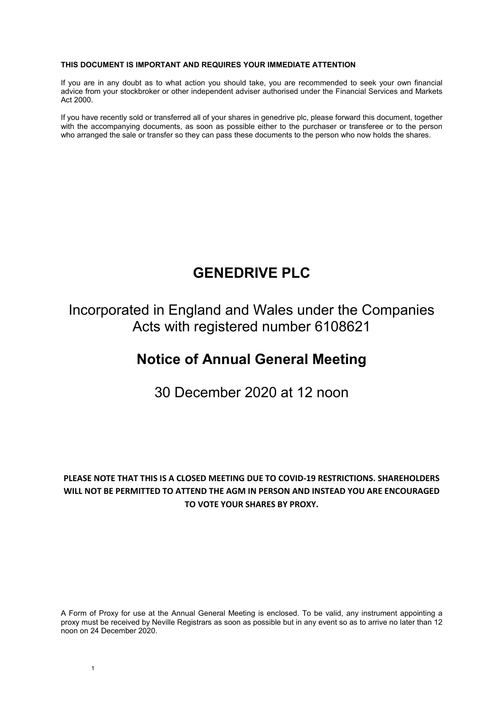#### **THIS DOCUMENT IS IMPORTANT AND REQUIRES YOUR IMMEDIATE ATTENTION**

If you are in any doubt as to what action you should take, you are recommended to seek your own financial advice from your stockbroker or other independent adviser authorised under the Financial Services and Markets Act 2000.

If you have recently sold or transferred all of your shares in genedrive plc, please forward this document, together with the accompanying documents, as soon as possible either to the purchaser or transferee or to the person who arranged the sale or transfer so they can pass these documents to the person who now holds the shares.

# **GENEDRIVE PLC**

Incorporated in England and Wales under the Companies Acts with registered number 6108621

# **Notice of Annual General Meeting**

30 December 2020 at 12 noon

# **PLEASE NOTE THAT THIS IS A CLOSED MEETING DUE TO COVID-19 RESTRICTIONS. SHAREHOLDERS WILL NOT BE PERMITTED TO ATTEND THE AGM IN PERSON AND INSTEAD YOU ARE ENCOURAGED TO VOTE YOUR SHARES BY PROXY.**

A Form of Proxy for use at the Annual General Meeting is enclosed. To be valid, any instrument appointing a proxy must be received by Neville Registrars as soon as possible but in any event so as to arrive no later than 12 noon on 24 December 2020.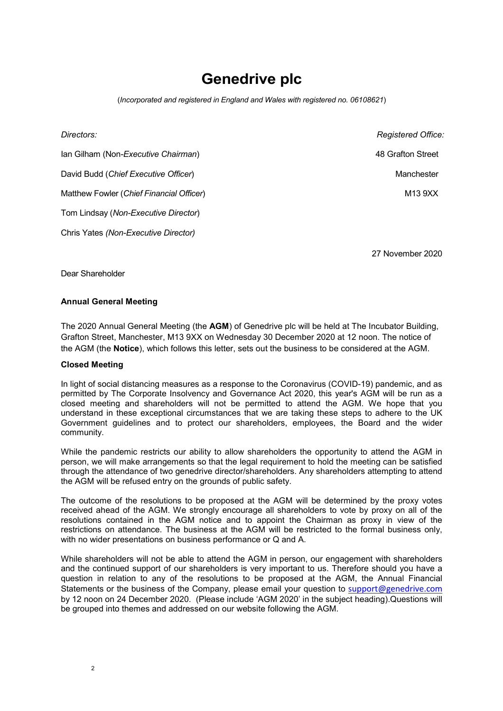# **Genedrive plc**

(*Incorporated and registered in England and Wales with registered no. 06108621*)

| Directors:                               | <b>Registered Office:</b> |
|------------------------------------------|---------------------------|
| Ian Gilham (Non-Executive Chairman)      | 48 Grafton Street         |
| David Budd (Chief Executive Officer)     | Manchester                |
| Matthew Fowler (Chief Financial Officer) | M13 9XX                   |
| Tom Lindsay (Non-Executive Director)     |                           |
| Chris Yates (Non-Executive Director)     |                           |

27 November 2020

Dear Shareholder

#### **Annual General Meeting**

The 2020 Annual General Meeting (the **AGM**) of Genedrive plc will be held at The Incubator Building, Grafton Street, Manchester, M13 9XX on Wednesday 30 December 2020 at 12 noon. The notice of the AGM (the **Notice**), which follows this letter, sets out the business to be considered at the AGM.

#### **Closed Meeting**

In light of social distancing measures as a response to the Coronavirus (COVID-19) pandemic, and as permitted by The Corporate Insolvency and Governance Act 2020, this year's AGM will be run as a closed meeting and shareholders will not be permitted to attend the AGM. We hope that you understand in these exceptional circumstances that we are taking these steps to adhere to the UK Government guidelines and to protect our shareholders, employees, the Board and the wider community.

While the pandemic restricts our ability to allow shareholders the opportunity to attend the AGM in person, we will make arrangements so that the legal requirement to hold the meeting can be satisfied through the attendance of two genedrive director/shareholders. Any shareholders attempting to attend the AGM will be refused entry on the grounds of public safety.

The outcome of the resolutions to be proposed at the AGM will be determined by the proxy votes received ahead of the AGM. We strongly encourage all shareholders to vote by proxy on all of the resolutions contained in the AGM notice and to appoint the Chairman as proxy in view of the restrictions on attendance. The business at the AGM will be restricted to the formal business only, with no wider presentations on business performance or Q and A.

While shareholders will not be able to attend the AGM in person, our engagement with shareholders and the continued support of our shareholders is very important to us. Therefore should you have a question in relation to any of the resolutions to be proposed at the AGM, the Annual Financial Statements or the business of the Company, please email your question to support@genedrive.com by 12 noon on 24 December 2020. (Please include 'AGM 2020' in the subject heading).Questions will be grouped into themes and addressed on our website following the AGM.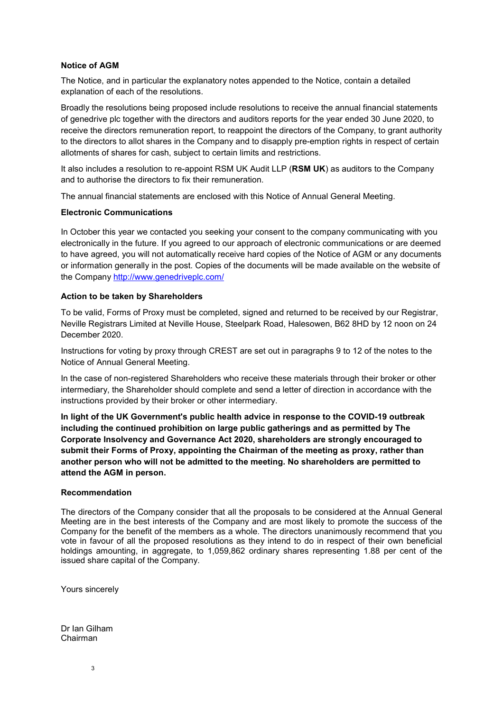### **Notice of AGM**

The Notice, and in particular the explanatory notes appended to the Notice, contain a detailed explanation of each of the resolutions.

Broadly the resolutions being proposed include resolutions to receive the annual financial statements of genedrive plc together with the directors and auditors reports for the year ended 30 June 2020, to receive the directors remuneration report, to reappoint the directors of the Company, to grant authority to the directors to allot shares in the Company and to disapply pre-emption rights in respect of certain allotments of shares for cash, subject to certain limits and restrictions.

It also includes a resolution to re-appoint RSM UK Audit LLP (**RSM UK**) as auditors to the Company and to authorise the directors to fix their remuneration.

The annual financial statements are enclosed with this Notice of Annual General Meeting.

#### **Electronic Communications**

In October this year we contacted you seeking your consent to the company communicating with you electronically in the future. If you agreed to our approach of electronic communications or are deemed to have agreed, you will not automatically receive hard copies of the Notice of AGM or any documents or information generally in the post. Copies of the documents will be made available on the website of the Company http://www.genedriveplc.com/

#### **Action to be taken by Shareholders**

To be valid, Forms of Proxy must be completed, signed and returned to be received by our Registrar, Neville Registrars Limited at Neville House, Steelpark Road, Halesowen, B62 8HD by 12 noon on 24 December 2020.

Instructions for voting by proxy through CREST are set out in paragraphs 9 to 12 of the notes to the Notice of Annual General Meeting.

In the case of non-registered Shareholders who receive these materials through their broker or other intermediary, the Shareholder should complete and send a letter of direction in accordance with the instructions provided by their broker or other intermediary.

**In light of the UK Government's public health advice in response to the COVID-19 outbreak including the continued prohibition on large public gatherings and as permitted by The Corporate Insolvency and Governance Act 2020, shareholders are strongly encouraged to submit their Forms of Proxy, appointing the Chairman of the meeting as proxy, rather than another person who will not be admitted to the meeting. No shareholders are permitted to attend the AGM in person.** 

#### **Recommendation**

The directors of the Company consider that all the proposals to be considered at the Annual General Meeting are in the best interests of the Company and are most likely to promote the success of the Company for the benefit of the members as a whole. The directors unanimously recommend that you vote in favour of all the proposed resolutions as they intend to do in respect of their own beneficial holdings amounting, in aggregate, to 1,059,862 ordinary shares representing 1.88 per cent of the issued share capital of the Company.

Yours sincerely

Dr Ian Gilham Chairman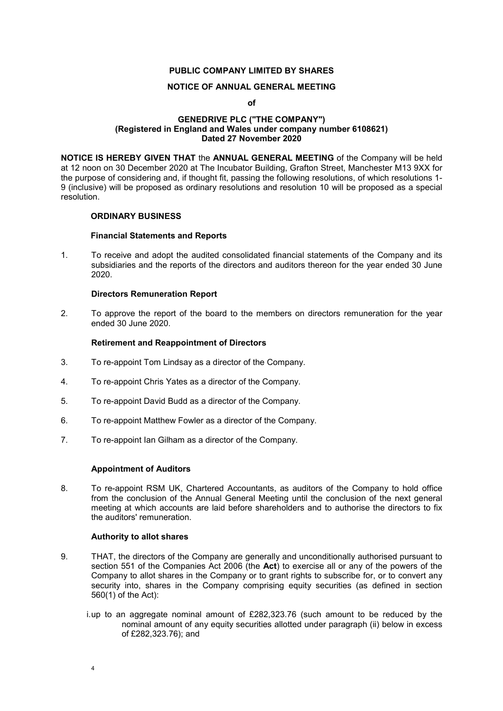# **PUBLIC COMPANY LIMITED BY SHARES**

#### **NOTICE OF ANNUAL GENERAL MEETING**

**of**

#### **GENEDRIVE PLC ("THE COMPANY") (Registered in England and Wales under company number 6108621) Dated 27 November 2020**

**NOTICE IS HEREBY GIVEN THAT** the **ANNUAL GENERAL MEETING** of the Company will be held at 12 noon on 30 December 2020 at The Incubator Building, Grafton Street, Manchester M13 9XX for the purpose of considering and, if thought fit, passing the following resolutions, of which resolutions 1- 9 (inclusive) will be proposed as ordinary resolutions and resolution 10 will be proposed as a special resolution.

#### **ORDINARY BUSINESS**

#### **Financial Statements and Reports**

1. To receive and adopt the audited consolidated financial statements of the Company and its subsidiaries and the reports of the directors and auditors thereon for the year ended 30 June 2020.

#### **Directors Remuneration Report**

2. To approve the report of the board to the members on directors remuneration for the year ended 30 June 2020.

#### **Retirement and Reappointment of Directors**

- 3. To re-appoint Tom Lindsay as a director of the Company.
- 4. To re-appoint Chris Yates as a director of the Company.
- 5. To re-appoint David Budd as a director of the Company.
- 6. To re-appoint Matthew Fowler as a director of the Company.
- 7. To re-appoint Ian Gilham as a director of the Company.

#### **Appointment of Auditors**

8. To re-appoint RSM UK, Chartered Accountants, as auditors of the Company to hold office from the conclusion of the Annual General Meeting until the conclusion of the next general meeting at which accounts are laid before shareholders and to authorise the directors to fix the auditors' remuneration.

#### **Authority to allot shares**

- 9. THAT, the directors of the Company are generally and unconditionally authorised pursuant to section 551 of the Companies Act 2006 (the **Act**) to exercise all or any of the powers of the Company to allot shares in the Company or to grant rights to subscribe for, or to convert any security into, shares in the Company comprising equity securities (as defined in section 560(1) of the Act):
	- i. up to an aggregate nominal amount of £282,323.76 (such amount to be reduced by the nominal amount of any equity securities allotted under paragraph (ii) below in excess of £282,323.76); and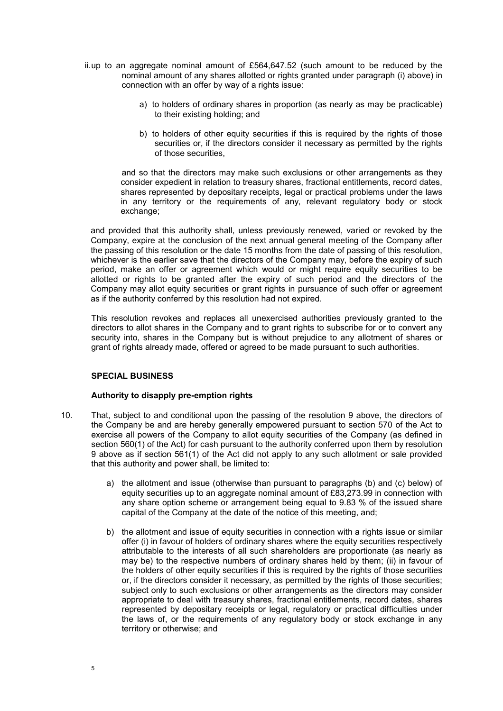- ii. up to an aggregate nominal amount of £564,647.52 (such amount to be reduced by the nominal amount of any shares allotted or rights granted under paragraph (i) above) in connection with an offer by way of a rights issue:
	- a) to holders of ordinary shares in proportion (as nearly as may be practicable) to their existing holding; and
	- b) to holders of other equity securities if this is required by the rights of those securities or, if the directors consider it necessary as permitted by the rights of those securities,

 and so that the directors may make such exclusions or other arrangements as they consider expedient in relation to treasury shares, fractional entitlements, record dates, shares represented by depositary receipts, legal or practical problems under the laws in any territory or the requirements of any, relevant regulatory body or stock exchange:

and provided that this authority shall, unless previously renewed, varied or revoked by the Company, expire at the conclusion of the next annual general meeting of the Company after the passing of this resolution or the date 15 months from the date of passing of this resolution, whichever is the earlier save that the directors of the Company may, before the expiry of such period, make an offer or agreement which would or might require equity securities to be allotted or rights to be granted after the expiry of such period and the directors of the Company may allot equity securities or grant rights in pursuance of such offer or agreement as if the authority conferred by this resolution had not expired.

This resolution revokes and replaces all unexercised authorities previously granted to the directors to allot shares in the Company and to grant rights to subscribe for or to convert any security into, shares in the Company but is without prejudice to any allotment of shares or grant of rights already made, offered or agreed to be made pursuant to such authorities.

# **SPECIAL BUSINESS**

#### **Authority to disapply pre-emption rights**

- 10. That, subject to and conditional upon the passing of the resolution 9 above, the directors of the Company be and are hereby generally empowered pursuant to section 570 of the Act to exercise all powers of the Company to allot equity securities of the Company (as defined in section 560(1) of the Act) for cash pursuant to the authority conferred upon them by resolution 9 above as if section 561(1) of the Act did not apply to any such allotment or sale provided that this authority and power shall, be limited to:
	- a) the allotment and issue (otherwise than pursuant to paragraphs (b) and (c) below) of equity securities up to an aggregate nominal amount of £83,273.99 in connection with any share option scheme or arrangement being equal to 9.83 % of the issued share capital of the Company at the date of the notice of this meeting, and;
	- b) the allotment and issue of equity securities in connection with a rights issue or similar offer (i) in favour of holders of ordinary shares where the equity securities respectively attributable to the interests of all such shareholders are proportionate (as nearly as may be) to the respective numbers of ordinary shares held by them; (ii) in favour of the holders of other equity securities if this is required by the rights of those securities or, if the directors consider it necessary, as permitted by the rights of those securities; subject only to such exclusions or other arrangements as the directors may consider appropriate to deal with treasury shares, fractional entitlements, record dates, shares represented by depositary receipts or legal, regulatory or practical difficulties under the laws of, or the requirements of any regulatory body or stock exchange in any territory or otherwise; and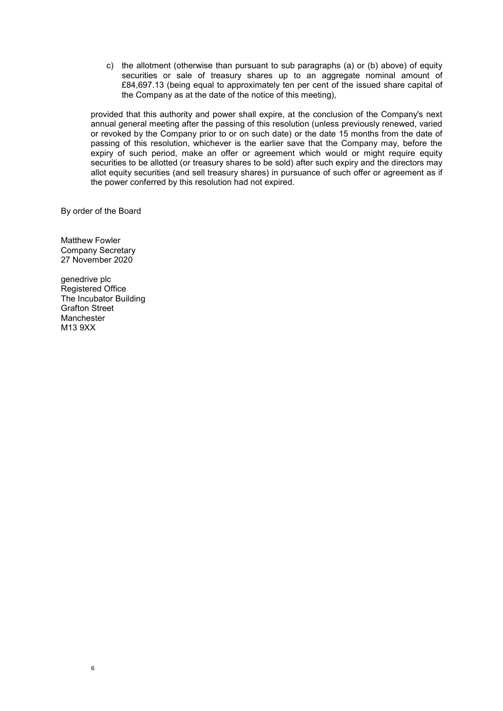c) the allotment (otherwise than pursuant to sub paragraphs (a) or (b) above) of equity securities or sale of treasury shares up to an aggregate nominal amount of £84,697.13 (being equal to approximately ten per cent of the issued share capital of the Company as at the date of the notice of this meeting),

provided that this authority and power shall expire, at the conclusion of the Company's next annual general meeting after the passing of this resolution (unless previously renewed, varied or revoked by the Company prior to or on such date) or the date 15 months from the date of passing of this resolution, whichever is the earlier save that the Company may, before the expiry of such period, make an offer or agreement which would or might require equity securities to be allotted (or treasury shares to be sold) after such expiry and the directors may allot equity securities (and sell treasury shares) in pursuance of such offer or agreement as if the power conferred by this resolution had not expired.

By order of the Board

Matthew Fowler Company Secretary 27 November 2020

genedrive plc Registered Office The Incubator Building Grafton Street Manchester M13 9XX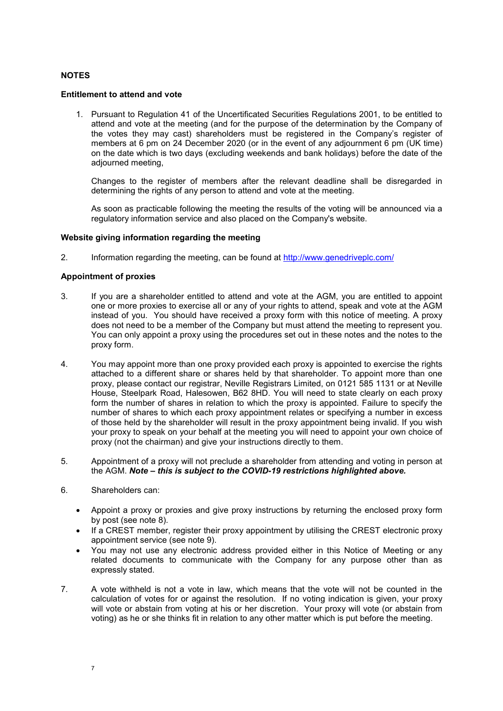# **NOTES**

#### **Entitlement to attend and vote**

1. Pursuant to Regulation 41 of the Uncertificated Securities Regulations 2001, to be entitled to attend and vote at the meeting (and for the purpose of the determination by the Company of the votes they may cast) shareholders must be registered in the Company's register of members at 6 pm on 24 December 2020 (or in the event of any adjournment 6 pm (UK time) on the date which is two days (excluding weekends and bank holidays) before the date of the adjourned meeting,

Changes to the register of members after the relevant deadline shall be disregarded in determining the rights of any person to attend and vote at the meeting.

As soon as practicable following the meeting the results of the voting will be announced via a regulatory information service and also placed on the Company's website.

#### **Website giving information regarding the meeting**

2. Information regarding the meeting, can be found at http://www.genedriveplc.com/

#### **Appointment of proxies**

- 3. If you are a shareholder entitled to attend and vote at the AGM, you are entitled to appoint one or more proxies to exercise all or any of your rights to attend, speak and vote at the AGM instead of you. You should have received a proxy form with this notice of meeting. A proxy does not need to be a member of the Company but must attend the meeting to represent you. You can only appoint a proxy using the procedures set out in these notes and the notes to the proxy form.
- 4. You may appoint more than one proxy provided each proxy is appointed to exercise the rights attached to a different share or shares held by that shareholder. To appoint more than one proxy, please contact our registrar, Neville Registrars Limited, on 0121 585 1131 or at Neville House, Steelpark Road, Halesowen, B62 8HD. You will need to state clearly on each proxy form the number of shares in relation to which the proxy is appointed. Failure to specify the number of shares to which each proxy appointment relates or specifying a number in excess of those held by the shareholder will result in the proxy appointment being invalid. If you wish your proxy to speak on your behalf at the meeting you will need to appoint your own choice of proxy (not the chairman) and give your instructions directly to them.
- 5. Appointment of a proxy will not preclude a shareholder from attending and voting in person at the AGM. *Note – this is subject to the COVID-19 restrictions highlighted above.*
- 6. Shareholders can:
	- Appoint a proxy or proxies and give proxy instructions by returning the enclosed proxy form by post (see note 8).
	- If a CREST member, register their proxy appointment by utilising the CREST electronic proxy appointment service (see note 9).
	- You may not use any electronic address provided either in this Notice of Meeting or any related documents to communicate with the Company for any purpose other than as expressly stated.
- 7. A vote withheld is not a vote in law, which means that the vote will not be counted in the calculation of votes for or against the resolution. If no voting indication is given, your proxy will vote or abstain from voting at his or her discretion. Your proxy will vote (or abstain from voting) as he or she thinks fit in relation to any other matter which is put before the meeting.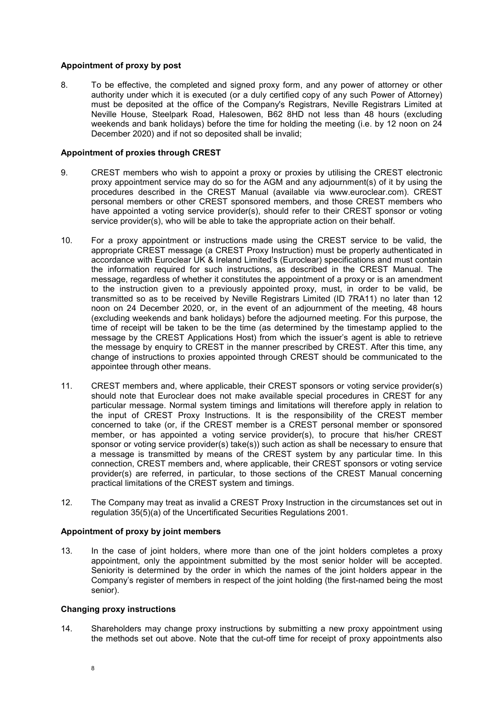### **Appointment of proxy by post**

8. To be effective, the completed and signed proxy form, and any power of attorney or other authority under which it is executed (or a duly certified copy of any such Power of Attorney) must be deposited at the office of the Company's Registrars, Neville Registrars Limited at Neville House, Steelpark Road, Halesowen, B62 8HD not less than 48 hours (excluding weekends and bank holidays) before the time for holding the meeting (i.e. by 12 noon on 24 December 2020) and if not so deposited shall be invalid;

#### **Appointment of proxies through CREST**

- 9. CREST members who wish to appoint a proxy or proxies by utilising the CREST electronic proxy appointment service may do so for the AGM and any adjournment(s) of it by using the procedures described in the CREST Manual (available via www.euroclear.com). CREST personal members or other CREST sponsored members, and those CREST members who have appointed a voting service provider(s), should refer to their CREST sponsor or voting service provider(s), who will be able to take the appropriate action on their behalf.
- 10. For a proxy appointment or instructions made using the CREST service to be valid, the appropriate CREST message (a CREST Proxy Instruction) must be properly authenticated in accordance with Euroclear UK & Ireland Limited's (Euroclear) specifications and must contain the information required for such instructions, as described in the CREST Manual. The message, regardless of whether it constitutes the appointment of a proxy or is an amendment to the instruction given to a previously appointed proxy, must, in order to be valid, be transmitted so as to be received by Neville Registrars Limited (ID 7RA11) no later than 12 noon on 24 December 2020, or, in the event of an adjournment of the meeting, 48 hours (excluding weekends and bank holidays) before the adjourned meeting. For this purpose, the time of receipt will be taken to be the time (as determined by the timestamp applied to the message by the CREST Applications Host) from which the issuer's agent is able to retrieve the message by enquiry to CREST in the manner prescribed by CREST. After this time, any change of instructions to proxies appointed through CREST should be communicated to the appointee through other means.
- 11. CREST members and, where applicable, their CREST sponsors or voting service provider(s) should note that Euroclear does not make available special procedures in CREST for any particular message. Normal system timings and limitations will therefore apply in relation to the input of CREST Proxy Instructions. It is the responsibility of the CREST member concerned to take (or, if the CREST member is a CREST personal member or sponsored member, or has appointed a voting service provider(s), to procure that his/her CREST sponsor or voting service provider(s) take(s)) such action as shall be necessary to ensure that a message is transmitted by means of the CREST system by any particular time. In this connection, CREST members and, where applicable, their CREST sponsors or voting service provider(s) are referred, in particular, to those sections of the CREST Manual concerning practical limitations of the CREST system and timings.
- 12. The Company may treat as invalid a CREST Proxy Instruction in the circumstances set out in regulation 35(5)(a) of the Uncertificated Securities Regulations 2001.

### **Appointment of proxy by joint members**

13. In the case of joint holders, where more than one of the joint holders completes a proxy appointment, only the appointment submitted by the most senior holder will be accepted. Seniority is determined by the order in which the names of the joint holders appear in the Company's register of members in respect of the joint holding (the first-named being the most senior).

#### **Changing proxy instructions**

14. Shareholders may change proxy instructions by submitting a new proxy appointment using the methods set out above. Note that the cut-off time for receipt of proxy appointments also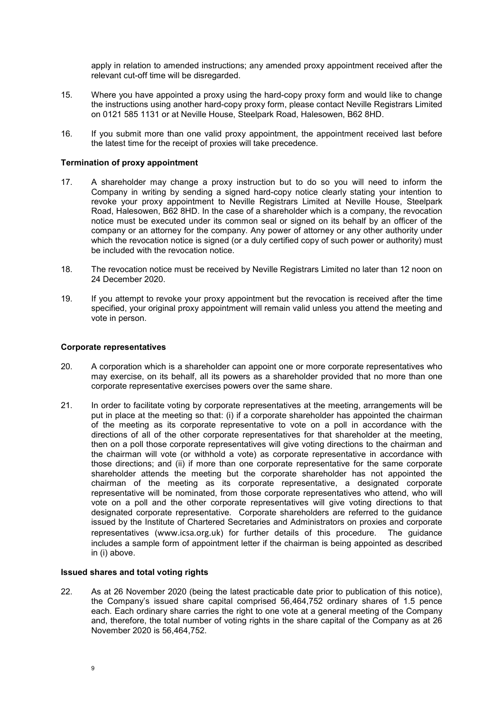apply in relation to amended instructions; any amended proxy appointment received after the relevant cut-off time will be disregarded.

- 15. Where you have appointed a proxy using the hard-copy proxy form and would like to change the instructions using another hard-copy proxy form, please contact Neville Registrars Limited on 0121 585 1131 or at Neville House, Steelpark Road, Halesowen, B62 8HD.
- 16. If you submit more than one valid proxy appointment, the appointment received last before the latest time for the receipt of proxies will take precedence.

#### **Termination of proxy appointment**

- 17. A shareholder may change a proxy instruction but to do so you will need to inform the Company in writing by sending a signed hard-copy notice clearly stating your intention to revoke your proxy appointment to Neville Registrars Limited at Neville House, Steelpark Road, Halesowen, B62 8HD. In the case of a shareholder which is a company, the revocation notice must be executed under its common seal or signed on its behalf by an officer of the company or an attorney for the company. Any power of attorney or any other authority under which the revocation notice is signed (or a duly certified copy of such power or authority) must be included with the revocation notice.
- 18. The revocation notice must be received by Neville Registrars Limited no later than 12 noon on 24 December 2020.
- 19. If you attempt to revoke your proxy appointment but the revocation is received after the time specified, your original proxy appointment will remain valid unless you attend the meeting and vote in person.

#### **Corporate representatives**

- 20. A corporation which is a shareholder can appoint one or more corporate representatives who may exercise, on its behalf, all its powers as a shareholder provided that no more than one corporate representative exercises powers over the same share.
- 21. In order to facilitate voting by corporate representatives at the meeting, arrangements will be put in place at the meeting so that: (i) if a corporate shareholder has appointed the chairman of the meeting as its corporate representative to vote on a poll in accordance with the directions of all of the other corporate representatives for that shareholder at the meeting, then on a poll those corporate representatives will give voting directions to the chairman and the chairman will vote (or withhold a vote) as corporate representative in accordance with those directions; and (ii) if more than one corporate representative for the same corporate shareholder attends the meeting but the corporate shareholder has not appointed the chairman of the meeting as its corporate representative, a designated corporate representative will be nominated, from those corporate representatives who attend, who will vote on a poll and the other corporate representatives will give voting directions to that designated corporate representative. Corporate shareholders are referred to the guidance issued by the Institute of Chartered Secretaries and Administrators on proxies and corporate representatives (www.icsa.org.uk) for further details of this procedure. The guidance includes a sample form of appointment letter if the chairman is being appointed as described in (i) above.

#### **Issued shares and total voting rights**

22. As at 26 November 2020 (being the latest practicable date prior to publication of this notice), the Company's issued share capital comprised 56,464,752 ordinary shares of 1.5 pence each. Each ordinary share carries the right to one vote at a general meeting of the Company and, therefore, the total number of voting rights in the share capital of the Company as at 26 November 2020 is 56,464,752.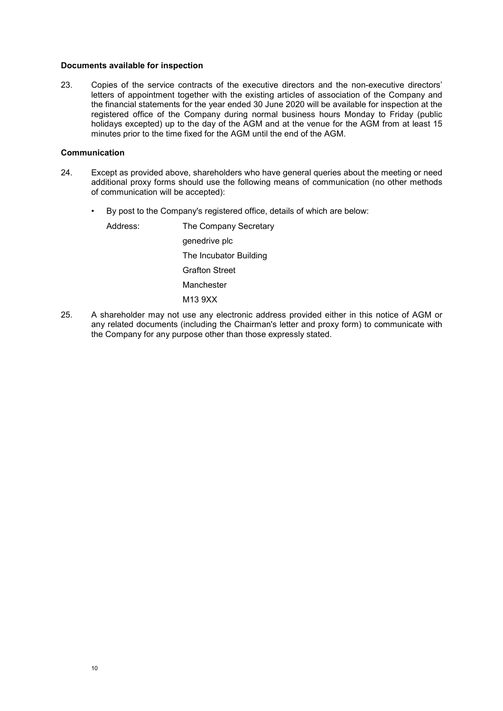#### **Documents available for inspection**

23. Copies of the service contracts of the executive directors and the non-executive directors' letters of appointment together with the existing articles of association of the Company and the financial statements for the year ended 30 June 2020 will be available for inspection at the registered office of the Company during normal business hours Monday to Friday (public holidays excepted) up to the day of the AGM and at the venue for the AGM from at least 15 minutes prior to the time fixed for the AGM until the end of the AGM.

#### **Communication**

- 24. Except as provided above, shareholders who have general queries about the meeting or need additional proxy forms should use the following means of communication (no other methods of communication will be accepted):
	- By post to the Company's registered office, details of which are below:

| Address: | The Company Secretary  |
|----------|------------------------|
|          | genedrive plc          |
|          | The Incubator Building |
|          | <b>Grafton Street</b>  |
|          | Manchester             |
|          | M13 9XX                |

25. A shareholder may not use any electronic address provided either in this notice of AGM or any related documents (including the Chairman's letter and proxy form) to communicate with the Company for any purpose other than those expressly stated.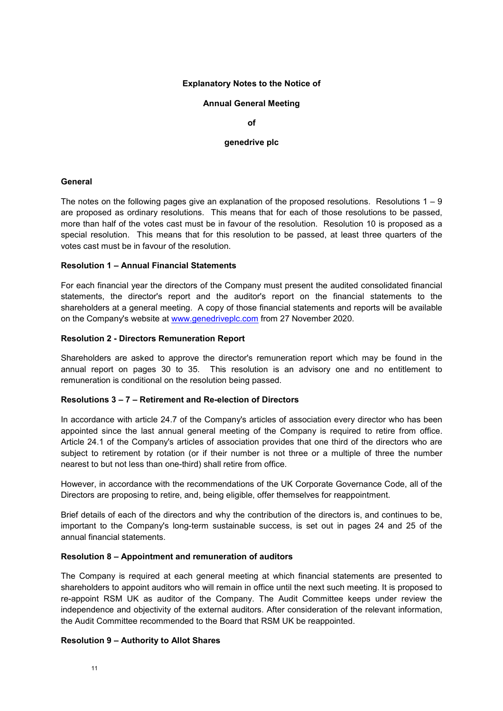#### **Explanatory Notes to the Notice of**

#### **Annual General Meeting**

**of** 

#### **genedrive plc**

#### **General**

The notes on the following pages give an explanation of the proposed resolutions. Resolutions  $1 - 9$ are proposed as ordinary resolutions. This means that for each of those resolutions to be passed, more than half of the votes cast must be in favour of the resolution. Resolution 10 is proposed as a special resolution. This means that for this resolution to be passed, at least three quarters of the votes cast must be in favour of the resolution.

#### **Resolution 1 – Annual Financial Statements**

For each financial year the directors of the Company must present the audited consolidated financial statements, the director's report and the auditor's report on the financial statements to the shareholders at a general meeting. A copy of those financial statements and reports will be available on the Company's website at www.genedriveplc.com from 27 November 2020.

#### **Resolution 2 - Directors Remuneration Report**

Shareholders are asked to approve the director's remuneration report which may be found in the annual report on pages 30 to 35. This resolution is an advisory one and no entitlement to remuneration is conditional on the resolution being passed.

# **Resolutions 3 – 7 – Retirement and Re-election of Directors**

In accordance with article 24.7 of the Company's articles of association every director who has been appointed since the last annual general meeting of the Company is required to retire from office. Article 24.1 of the Company's articles of association provides that one third of the directors who are subject to retirement by rotation (or if their number is not three or a multiple of three the number nearest to but not less than one-third) shall retire from office.

However, in accordance with the recommendations of the UK Corporate Governance Code, all of the Directors are proposing to retire, and, being eligible, offer themselves for reappointment.

Brief details of each of the directors and why the contribution of the directors is, and continues to be, important to the Company's long-term sustainable success, is set out in pages 24 and 25 of the annual financial statements.

# **Resolution 8 – Appointment and remuneration of auditors**

The Company is required at each general meeting at which financial statements are presented to shareholders to appoint auditors who will remain in office until the next such meeting. It is proposed to re-appoint RSM UK as auditor of the Company. The Audit Committee keeps under review the independence and objectivity of the external auditors. After consideration of the relevant information, the Audit Committee recommended to the Board that RSM UK be reappointed.

# **Resolution 9 – Authority to Allot Shares**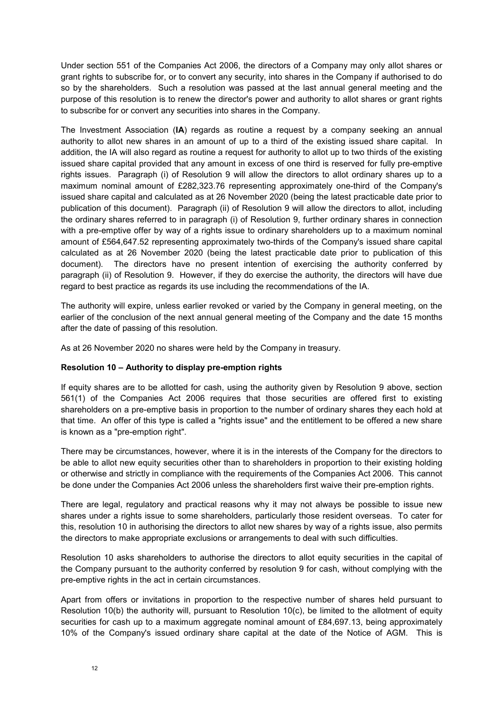Under section 551 of the Companies Act 2006, the directors of a Company may only allot shares or grant rights to subscribe for, or to convert any security, into shares in the Company if authorised to do so by the shareholders. Such a resolution was passed at the last annual general meeting and the purpose of this resolution is to renew the director's power and authority to allot shares or grant rights to subscribe for or convert any securities into shares in the Company.

The Investment Association (**IA**) regards as routine a request by a company seeking an annual authority to allot new shares in an amount of up to a third of the existing issued share capital. In addition, the IA will also regard as routine a request for authority to allot up to two thirds of the existing issued share capital provided that any amount in excess of one third is reserved for fully pre-emptive rights issues. Paragraph (i) of Resolution 9 will allow the directors to allot ordinary shares up to a maximum nominal amount of £282,323.76 representing approximately one-third of the Company's issued share capital and calculated as at 26 November 2020 (being the latest practicable date prior to publication of this document). Paragraph (ii) of Resolution 9 will allow the directors to allot, including the ordinary shares referred to in paragraph (i) of Resolution 9, further ordinary shares in connection with a pre-emptive offer by way of a rights issue to ordinary shareholders up to a maximum nominal amount of £564,647.52 representing approximately two-thirds of the Company's issued share capital calculated as at 26 November 2020 (being the latest practicable date prior to publication of this document). The directors have no present intention of exercising the authority conferred by paragraph (ii) of Resolution 9. However, if they do exercise the authority, the directors will have due regard to best practice as regards its use including the recommendations of the IA.

The authority will expire, unless earlier revoked or varied by the Company in general meeting, on the earlier of the conclusion of the next annual general meeting of the Company and the date 15 months after the date of passing of this resolution.

As at 26 November 2020 no shares were held by the Company in treasury.

# **Resolution 10 – Authority to display pre-emption rights**

If equity shares are to be allotted for cash, using the authority given by Resolution 9 above, section 561(1) of the Companies Act 2006 requires that those securities are offered first to existing shareholders on a pre-emptive basis in proportion to the number of ordinary shares they each hold at that time. An offer of this type is called a "rights issue" and the entitlement to be offered a new share is known as a "pre-emption right".

There may be circumstances, however, where it is in the interests of the Company for the directors to be able to allot new equity securities other than to shareholders in proportion to their existing holding or otherwise and strictly in compliance with the requirements of the Companies Act 2006. This cannot be done under the Companies Act 2006 unless the shareholders first waive their pre-emption rights.

There are legal, regulatory and practical reasons why it may not always be possible to issue new shares under a rights issue to some shareholders, particularly those resident overseas. To cater for this, resolution 10 in authorising the directors to allot new shares by way of a rights issue, also permits the directors to make appropriate exclusions or arrangements to deal with such difficulties.

Resolution 10 asks shareholders to authorise the directors to allot equity securities in the capital of the Company pursuant to the authority conferred by resolution 9 for cash, without complying with the pre-emptive rights in the act in certain circumstances.

Apart from offers or invitations in proportion to the respective number of shares held pursuant to Resolution 10(b) the authority will, pursuant to Resolution 10(c), be limited to the allotment of equity securities for cash up to a maximum aggregate nominal amount of £84,697.13, being approximately 10% of the Company's issued ordinary share capital at the date of the Notice of AGM. This is